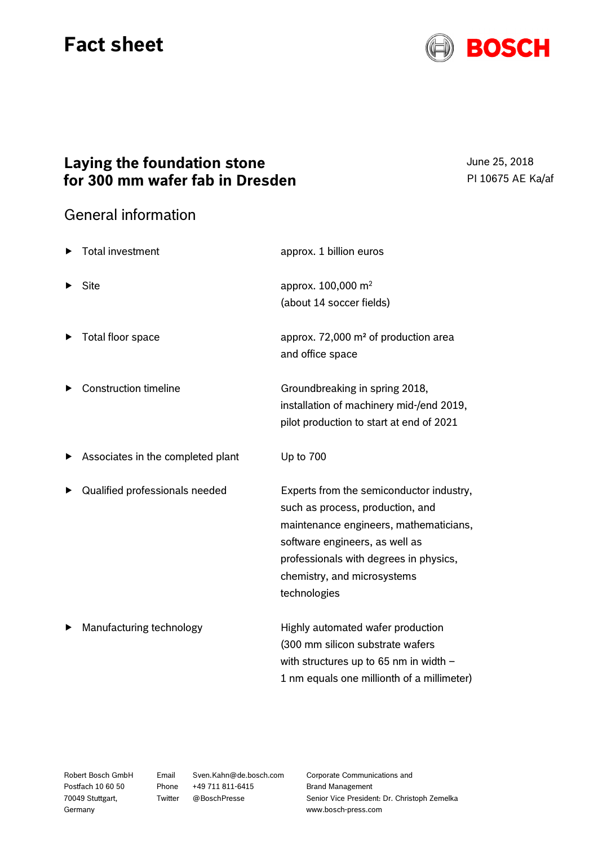## **Fact sheet**



## **Laying the foundation stone for 300 mm wafer fab in Dresden**

June 25, 2018 PI 10675 AE Ka/af

## General information

| <b>Total investment</b>           | approx. 1 billion euros                                                                                                                                                                                                                           |
|-----------------------------------|---------------------------------------------------------------------------------------------------------------------------------------------------------------------------------------------------------------------------------------------------|
| <b>Site</b>                       | approx. 100,000 m <sup>2</sup><br>(about 14 soccer fields)                                                                                                                                                                                        |
| Total floor space                 | approx. 72,000 m <sup>2</sup> of production area<br>and office space                                                                                                                                                                              |
| <b>Construction timeline</b>      | Groundbreaking in spring 2018,<br>installation of machinery mid-/end 2019,<br>pilot production to start at end of 2021                                                                                                                            |
| Associates in the completed plant | Up to 700                                                                                                                                                                                                                                         |
| Qualified professionals needed    | Experts from the semiconductor industry,<br>such as process, production, and<br>maintenance engineers, mathematicians,<br>software engineers, as well as<br>professionals with degrees in physics,<br>chemistry, and microsystems<br>technologies |
| Manufacturing technology          | Highly automated wafer production<br>(300 mm silicon substrate wafers<br>with structures up to 65 nm in width -<br>1 nm equals one millionth of a millimeter)                                                                                     |

Robert Bosch GmbH Postfach 10 60 50 70049 Stuttgart, Germany

Email Sven.Kahn@de.bosch.com Phone +49 711 811-6415 Twitter @BoschPresse

Corporate Communications and Brand Management Senior Vice President: Dr. Christoph Zemelka www.bosch-press.com